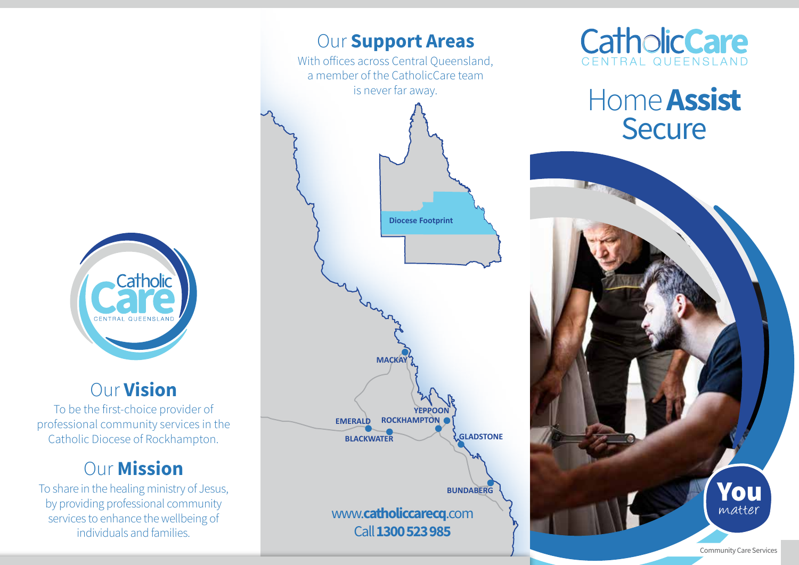

## Our Vision

To be the first-choice provider of professional community services in the Catholic Diocese of Rockhampton.

# **Our Mission**

To share in the healing ministry of Jesus, by providing professional community services to enhance the wellbeing of individuals and families.





# Home **Assist Secure**